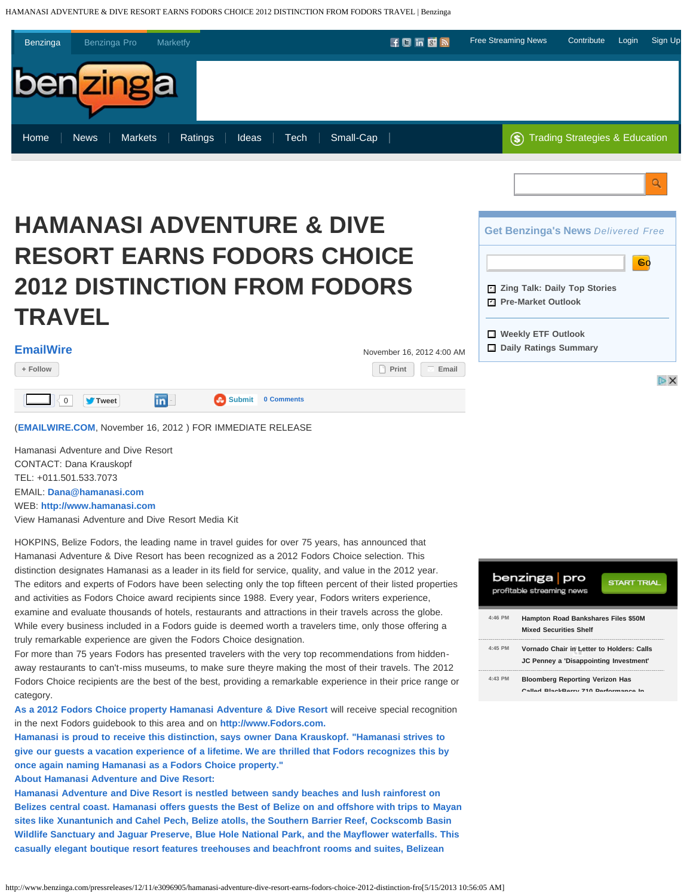HAMANASI ADVENTURE & DIVE RESORT EARNS FODORS CHOICE 2012 DISTINCTION FROM FODORS TRAVEL | Benzinga



# **HAMANASI ADVENTURE & DIVE RESORT EARNS FODORS CHOICE 2012 DISTINCTION FROM FODORS TRAVEL**

| FmailWire |  |
|-----------|--|

| <b>EmailWire</b> | November 16, 2012 4:00 AM |
|------------------|---------------------------|
|                  |                           |

**[+ Follow](http://www.benzinga.com/user/follow/60112) [Print](http://www.benzinga.com/print/3096905) [Email](http://www.benzinga.com/printmail/3096905)**

Like 0 **[Tweet](https://twitter.com/intent/tweet?original_referer=&text=HAMANASI%20ADVENTURE%20%26%20DIVE%20RESORT%20EARNS%20FODORS%20CHOICE%202012%20DISTINCTION%20FROM%20FODORS%20TRAVEL&tw_p=tweetbutton&url=http%3A%2F%2Fwww.benzinga.com%2Fpressreleases%2F12%2F11%2Fe3096905%2Fhamanasi-adventure-dive-resort-earns-fodors-choice-2012-distinction-fro&via=benzinga) [Share](javascript:void(0);) [Submit](http://www.stumbleupon.com/submit?url=http%3A%2F%2Fwww.benzinga.com%2Fpressreleases%2F12%2F11%2Fe3096905%2Fhamanasi-adventure-dive-resort-earns-fodors-choice-2012-distinction-fro) [0 Comments](#page--1-0)**

(**[EMAILWIRE.COM](http://www.emailwire.com/)**, November 16, 2012 ) FOR IMMEDIATE RELEASE

Hamanasi Adventure and Dive Resort CONTACT: Dana Krauskopf TEL: +011.501.533.7073 EMAIL: **[Dana@hamanasi.com](mailto:Dana@hamanasi.com)**

WEB: **[http://www.hamanasi.com](http://www.hamanasi.com/)**

View Hamanasi Adventure and Dive Resort Media Kit

HOKPINS, Belize Fodors, the leading name in travel guides for over 75 years, has announced that Hamanasi Adventure & Dive Resort has been recognized as a 2012 Fodors Choice selection. This distinction designates Hamanasi as a leader in its field for service, quality, and value in the 2012 year. The editors and experts of Fodors have been selecting only the top fifteen percent of their listed properties and activities as Fodors Choice award recipients since 1988. Every year, Fodors writers experience, examine and evaluate thousands of hotels, restaurants and attractions in their travels across the globe. While every business included in a Fodors guide is deemed worth a travelers time, only those offering a truly remarkable experience are given the Fodors Choice designation.

For more than 75 years Fodors has presented travelers with the very top recommendations from hiddenaway restaurants to can't-miss museums, to make sure theyre making the most of their travels. The 2012 Fodors Choice recipients are the best of the best, providing a remarkable experience in their price range or category.

**[As a 2012 Fodors Choice property Hamanasi Adventure & Dive Resort](http://www.hamanasi.com/)** will receive special recognition in the next Fodors guidebook to this area and on **http://www.Fodors.com.** 

**Hamanasi is proud to receive this distinction, says owner Dana Krauskopf. "Hamanasi strives to give our guests a vacation experience of a lifetime. We are thrilled that Fodors recognizes this by once again naming Hamanasi as a Fodors Choice property."** 

**About Hamanasi Adventure and Dive Resort:**

**Hamanasi Adventure and Dive Resort is nestled between sandy beaches and lush rainforest on Belizes central coast. Hamanasi offers guests the Best of Belize on and offshore with trips to Mayan sites like Xunantunich and Cahel Pech, Belize atolls, the Southern Barrier Reef, Cockscomb Basin Wildlife Sanctuary and Jaguar Preserve, Blue Hole National Park, and the Mayflower waterfalls. This casually elegant boutique resort features treehouses and beachfront rooms and suites, Belizean**

|           | benzinga   pro<br><b>START TRIAL</b><br>profitable streaming news                   |
|-----------|-------------------------------------------------------------------------------------|
| $4.46$ PM | <b>Hampton Road Bankshares Files \$50M</b><br><b>Mixed Securities Shelf</b>         |
| $4.45$ PM | Vornado Chair in Letter to Holders: Calls<br>JC Penney a 'Disappointing Investment' |
| $4.43$ PM | <b>Bloomberg Reporting Verizon Has</b><br>Called BlackBerry 710 Berformance In      |

**Get Benzinga's News** *Delivered Free*

Go

DX

 **Zing Talk: Daily Top Stories** ✔

 **Pre-Market Outlook** ✔

 **Weekly ETF Outlook Daily Ratings Summary**